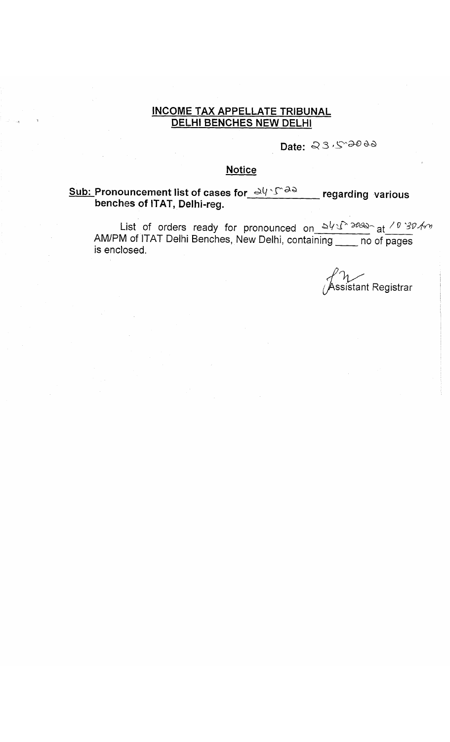### **INCOME TAX APPELLATE TRIBUNAL DELHI BENCHES NEW DELHI**

**Date:** *Q 3*

#### **Notice**

## **Sub:** Pronouncement list of cases for  $\frac{\partial \psi}{\partial \theta}$  regarding various **benches of ITAT, Delhi-reg.**

List of orders ready for pronounced on  $\mathbb{E}^{Q \times 1}$  at  $\mathbb{E}^{Q \times 1}$ AM/PM of ITAT Delhi Benches, New Delhi, containing \_\_\_\_\_no of pages is enclosed.

 $M$ ssistant Registrar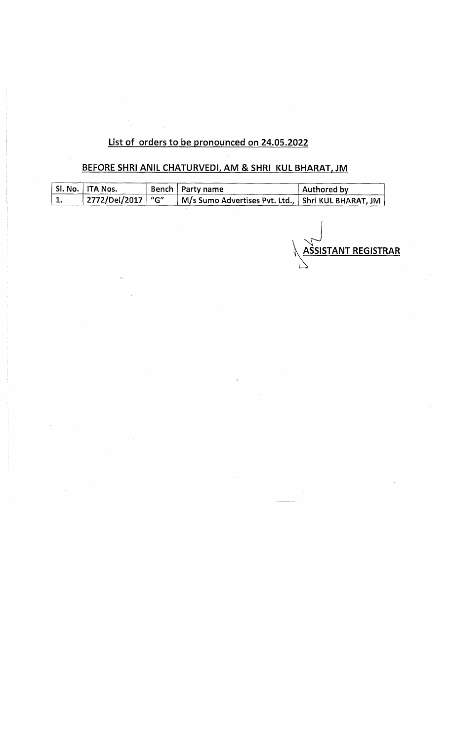# **List of orders to be pronounced on 24.05.2022**

# **BEFORE SHRI ANIL CHATURVEPI, AM & SHRI KUL BHARAT, JM**

| SI. No. TTA Nos.    | Bench   Party name                                   | $\parallel$ Authored by |
|---------------------|------------------------------------------------------|-------------------------|
| 2772/Del/2017   "G" | M/s Sumo Advertises Pvt. Ltd.,   Shri KUL BHARAT, JM |                         |

**ASSISTANT REGISTRAR**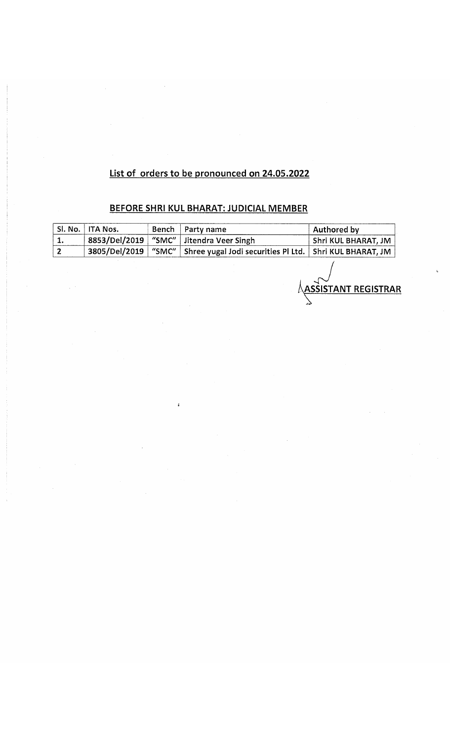# **List of orders to be pronounced on 24.05.2022**

# **BEFORE SHRI KUL BHARAT: JUDICIAL MEMBER**

| Sl. No. | <b>ITA Nos.</b> | <b>Bench</b> | Party name                          | Authored by                 |
|---------|-----------------|--------------|-------------------------------------|-----------------------------|
| 1.      | 8853/Del/2019   | "SMC"        | Jitendra Veer Singh                 | Shri KUL BHARAT, JM         |
| 2       | 3805/Del/2019   | "SMC"        | Shree yugal Jodi securities Pl Ltd. | Shri KUL BHARAT, JM         |
|         |                 |              |                                     | <b>AASSISTANT REGISTRAR</b> |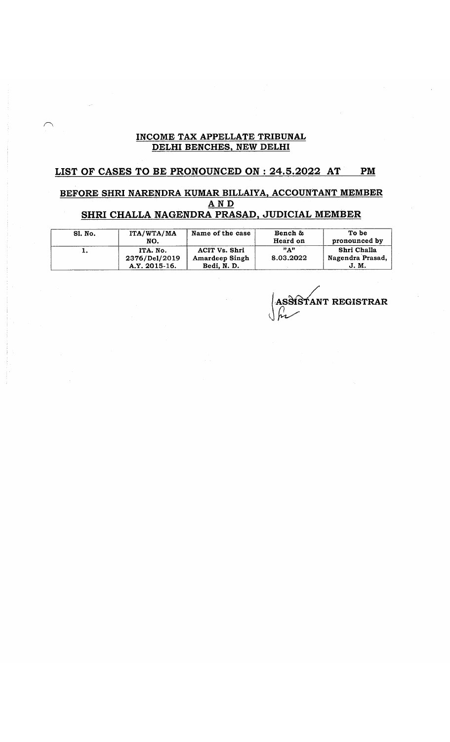#### **INCOME TAX APPELLATE TRIBUNAL DELHI BENCHES, NEW DELHI**

#### **LIST OF CASES TO BE PRONOUNCED ON : 24.5.2022 AT PM**

#### **BEFORE SHRI NARENDRA KUMAR BILLAIYA, ACCOUNTANT MEMBER AND SHRI CHALLA NAGENDRA PRASAD, JUDICIAL MEMBER**

| <b>S1. No.</b> | ITA/WTA/MA<br>NO.                          | Name of the case                                      | Bench &<br>Heard on | To be<br>pronounced by                   |
|----------------|--------------------------------------------|-------------------------------------------------------|---------------------|------------------------------------------|
| л.,            | ITA. No.<br>2376/Del/2019<br>A.Y. 2015-16. | ACIT Vs. Shri<br><b>Amardeep Singh</b><br>Bedi, N. D. | "A"<br>8.03.2022    | Shri Challa<br>Nagendra Prasad,<br>J. M. |

**I ASSISTANT REGISTRAR**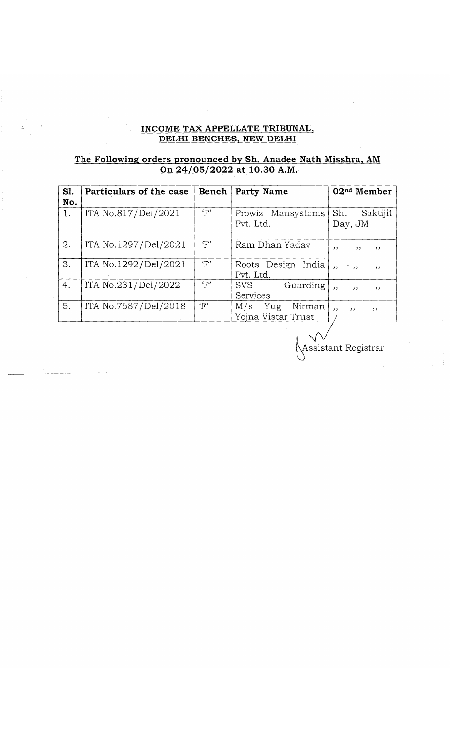#### **INCOME TAX APPELLATE TRIBUNAL, DELHI BENCHES, NEW DELHI**

#### **The Following orders pronounced by Sh. Anadee Nath Misshra, AM On 24/05/2022 at 10.30 A.M.**

| SI.<br>No. | Particulars of the case | Bench         | <b>Party Name</b>                          | 02 <sup>nd</sup> Member    |
|------------|-------------------------|---------------|--------------------------------------------|----------------------------|
| 1.         | ITA No.817/Del/2021     | $\mathbf{F}'$ | Prowiz Mansystems<br>Pvt. Ltd.             | Sh.<br>Saktijit<br>Day, JM |
| 2.         | ITA No.1297/Del/2021    | T'            | Ram Dhan Yaday                             | $, \,$<br>$\rightarrow$    |
| 3.         | ITA No.1292/Del/2021    | F'            | Roots Design India<br>Pvt. Ltd.            | $, -$ ,<br>, ,             |
| 4.         | ITA No.231/Del/2022     | $\mathbf{F}'$ | SVS<br>Guarding<br>Services                | , ,<br>, ,<br>, ,          |
| 5.         | ITA No.7687/Del/2018    | 'ቸ'           | M/s<br>Nirman<br>Yug<br>Yojna Vistar Trust | , ,<br>, ,<br>, ,          |

^Assistant Registrar